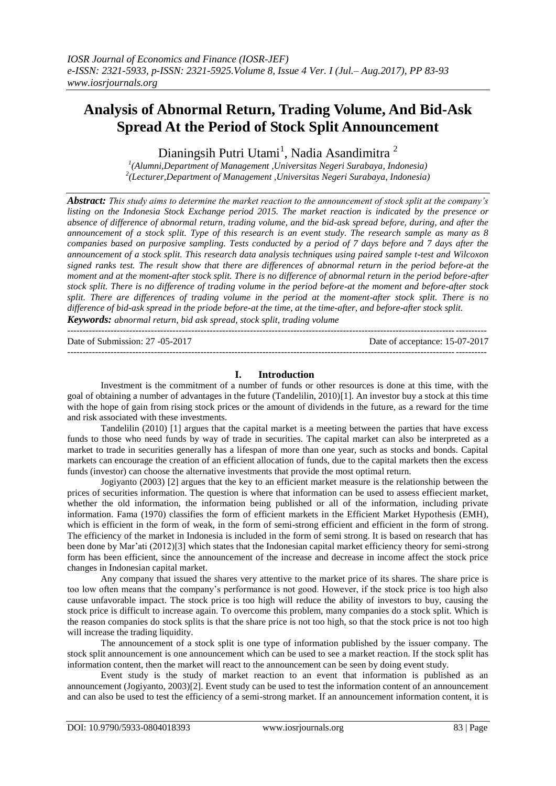# **Analysis of Abnormal Return, Trading Volume, And Bid-Ask Spread At the Period of Stock Split Announcement**

Dianingsih Putri Utami<sup>1</sup>, Nadia Asandimitra<sup>2</sup>

*1 (Alumni,Department of Management ,Universitas Negeri Surabaya, Indonesia) 2 (Lecturer,Department of Management ,Universitas Negeri Surabaya, Indonesia)*

*Abstract: This study aims to determine the market reaction to the announcement of stock split at the company's listing on the Indonesia Stock Exchange period 2015. The market reaction is indicated by the presence or absence of difference of abnormal return, trading volume, and the bid-ask spread before, during, and after the announcement of a stock split. Type of this research is an event study. The research sample as many as 8 companies based on purposive sampling. Tests conducted by a period of 7 days before and 7 days after the announcement of a stock split. This research data analysis techniques using paired sample t-test and Wilcoxon signed ranks test. The result show that there are differences of abnormal return in the period before-at the moment and at the moment-after stock split. There is no difference of abnormal return in the period before-after stock split. There is no difference of trading volume in the period before-at the moment and before-after stock split. There are differences of trading volume in the period at the moment-after stock split. There is no difference of bid-ask spread in the priode before-at the time, at the time-after, and before-after stock split. Keywords: abnormal return, bid ask spread, stock split, trading volume*

--------------------------------------------------------------------------------------------------------------------------------------- Date of acceptance: 15-07-2017 ---------------------------------------------------------------------------------------------------------------------------------------

# **I. Introduction**

Investment is the commitment of a number of funds or other resources is done at this time, with the goal of obtaining a number of advantages in the future (Tandelilin, 2010)[1]. An investor buy a stock at this time with the hope of gain from rising stock prices or the amount of dividends in the future, as a reward for the time and risk associated with these investments.

Tandelilin (2010) [1] argues that the capital market is a meeting between the parties that have excess funds to those who need funds by way of trade in securities. The capital market can also be interpreted as a market to trade in securities generally has a lifespan of more than one year, such as stocks and bonds. Capital markets can encourage the creation of an efficient allocation of funds, due to the capital markets then the excess funds (investor) can choose the alternative investments that provide the most optimal return.

Jogiyanto (2003) [2] argues that the key to an efficient market measure is the relationship between the prices of securities information. The question is where that information can be used to assess effiecient market, whether the old information, the information being published or all of the information, including private information. Fama (1970) classifies the form of efficient markets in the Efficient Market Hypothesis (EMH), which is efficient in the form of weak, in the form of semi-strong efficient and efficient in the form of strong. The efficiency of the market in Indonesia is included in the form of semi strong. It is based on research that has been done by Mar'ati (2012)[3] which states that the Indonesian capital market efficiency theory for semi-strong form has been efficient, since the announcement of the increase and decrease in income affect the stock price changes in Indonesian capital market.

Any company that issued the shares very attentive to the market price of its shares. The share price is too low often means that the company's performance is not good. However, if the stock price is too high also cause unfavorable impact. The stock price is too high will reduce the ability of investors to buy, causing the stock price is difficult to increase again. To overcome this problem, many companies do a stock split. Which is the reason companies do stock splits is that the share price is not too high, so that the stock price is not too high will increase the trading liquidity.

The announcement of a stock split is one type of information published by the issuer company. The stock split announcement is one announcement which can be used to see a market reaction. If the stock split has information content, then the market will react to the announcement can be seen by doing event study.

Event study is the study of market reaction to an event that information is published as an announcement (Jogiyanto, 2003)[2]. Event study can be used to test the information content of an announcement and can also be used to test the efficiency of a semi-strong market. If an announcement information content, it is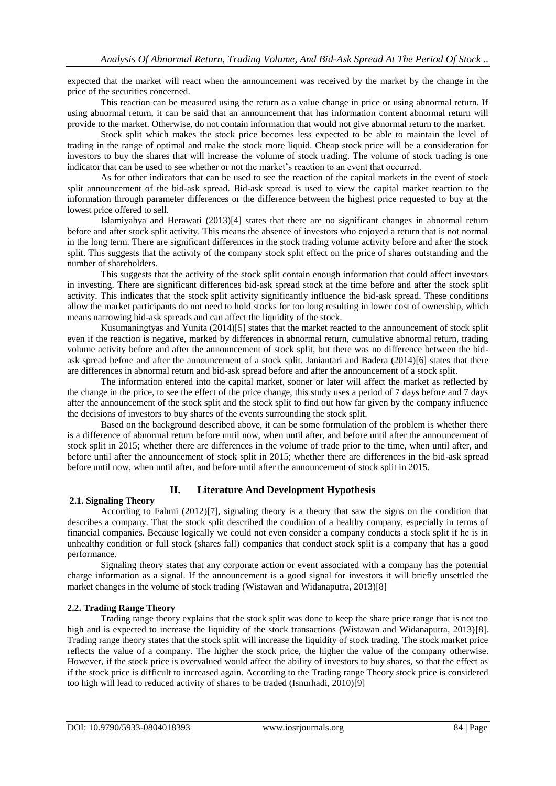expected that the market will react when the announcement was received by the market by the change in the price of the securities concerned.

This reaction can be measured using the return as a value change in price or using abnormal return. If using abnormal return, it can be said that an announcement that has information content abnormal return will provide to the market. Otherwise, do not contain information that would not give abnormal return to the market.

Stock split which makes the stock price becomes less expected to be able to maintain the level of trading in the range of optimal and make the stock more liquid. Cheap stock price will be a consideration for investors to buy the shares that will increase the volume of stock trading. The volume of stock trading is one indicator that can be used to see whether or not the market's reaction to an event that occurred.

As for other indicators that can be used to see the reaction of the capital markets in the event of stock split announcement of the bid-ask spread. Bid-ask spread is used to view the capital market reaction to the information through parameter differences or the difference between the highest price requested to buy at the lowest price offered to sell.

Islamiyahya and Herawati (2013)[4] states that there are no significant changes in abnormal return before and after stock split activity. This means the absence of investors who enjoyed a return that is not normal in the long term. There are significant differences in the stock trading volume activity before and after the stock split. This suggests that the activity of the company stock split effect on the price of shares outstanding and the number of shareholders.

This suggests that the activity of the stock split contain enough information that could affect investors in investing. There are significant differences bid-ask spread stock at the time before and after the stock split activity. This indicates that the stock split activity significantly influence the bid-ask spread. These conditions allow the market participants do not need to hold stocks for too long resulting in lower cost of ownership, which means narrowing bid-ask spreads and can affect the liquidity of the stock.

Kusumaningtyas and Yunita (2014)[5] states that the market reacted to the announcement of stock split even if the reaction is negative, marked by differences in abnormal return, cumulative abnormal return, trading volume activity before and after the announcement of stock split, but there was no difference between the bidask spread before and after the announcement of a stock split. Janiantari and Badera (2014)[6] states that there are differences in abnormal return and bid-ask spread before and after the announcement of a stock split.

The information entered into the capital market, sooner or later will affect the market as reflected by the change in the price, to see the effect of the price change, this study uses a period of 7 days before and 7 days after the announcement of the stock split and the stock split to find out how far given by the company influence the decisions of investors to buy shares of the events surrounding the stock split.

Based on the background described above, it can be some formulation of the problem is whether there is a difference of abnormal return before until now, when until after, and before until after the announcement of stock split in 2015; whether there are differences in the volume of trade prior to the time, when until after, and before until after the announcement of stock split in 2015; whether there are differences in the bid-ask spread before until now, when until after, and before until after the announcement of stock split in 2015.

## **II. Literature And Development Hypothesis**

## **2.1. Signaling Theory**

According to Fahmi (2012)[7], signaling theory is a theory that saw the signs on the condition that describes a company. That the stock split described the condition of a healthy company, especially in terms of financial companies. Because logically we could not even consider a company conducts a stock split if he is in unhealthy condition or full stock (shares fall) companies that conduct stock split is a company that has a good performance.

Signaling theory states that any corporate action or event associated with a company has the potential charge information as a signal. If the announcement is a good signal for investors it will briefly unsettled the market changes in the volume of stock trading (Wistawan and Widanaputra, 2013)[8]

## **2.2. Trading Range Theory**

Trading range theory explains that the stock split was done to keep the share price range that is not too high and is expected to increase the liquidity of the stock transactions (Wistawan and Widanaputra, 2013)[8]. Trading range theory states that the stock split will increase the liquidity of stock trading. The stock market price reflects the value of a company. The higher the stock price, the higher the value of the company otherwise. However, if the stock price is overvalued would affect the ability of investors to buy shares, so that the effect as if the stock price is difficult to increased again. According to the Trading range Theory stock price is considered too high will lead to reduced activity of shares to be traded (Isnurhadi, 2010)[9]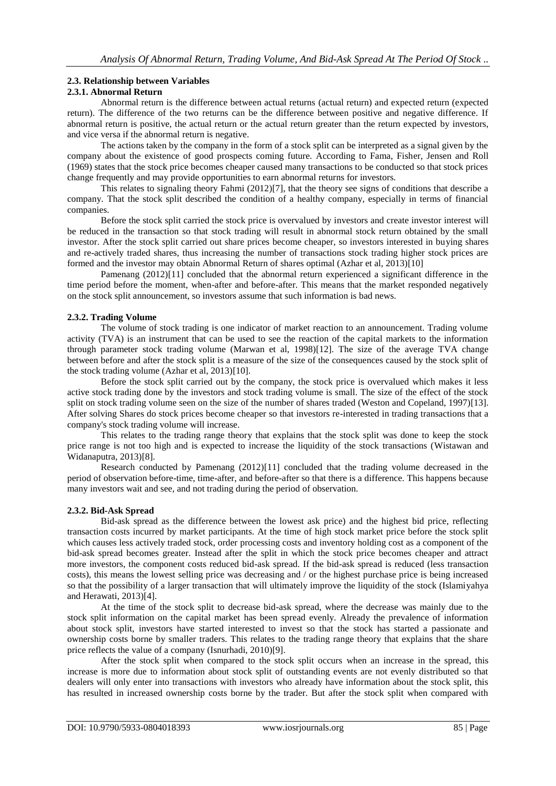## **2.3. Relationship between Variables**

## **2.3.1. Abnormal Return**

Abnormal return is the difference between actual returns (actual return) and expected return (expected return). The difference of the two returns can be the difference between positive and negative difference. If abnormal return is positive, the actual return or the actual return greater than the return expected by investors, and vice versa if the abnormal return is negative.

The actions taken by the company in the form of a stock split can be interpreted as a signal given by the company about the existence of good prospects coming future. According to Fama, Fisher, Jensen and Roll (1969) states that the stock price becomes cheaper caused many transactions to be conducted so that stock prices change frequently and may provide opportunities to earn abnormal returns for investors.

This relates to signaling theory Fahmi (2012)[7], that the theory see signs of conditions that describe a company. That the stock split described the condition of a healthy company, especially in terms of financial companies.

Before the stock split carried the stock price is overvalued by investors and create investor interest will be reduced in the transaction so that stock trading will result in abnormal stock return obtained by the small investor. After the stock split carried out share prices become cheaper, so investors interested in buying shares and re-actively traded shares, thus increasing the number of transactions stock trading higher stock prices are formed and the investor may obtain Abnormal Return of shares optimal (Azhar et al, 2013)[10]

Pamenang (2012)[11] concluded that the abnormal return experienced a significant difference in the time period before the moment, when-after and before-after. This means that the market responded negatively on the stock split announcement, so investors assume that such information is bad news.

## **2.3.2. Trading Volume**

The volume of stock trading is one indicator of market reaction to an announcement. Trading volume activity (TVA) is an instrument that can be used to see the reaction of the capital markets to the information through parameter stock trading volume (Marwan et al, 1998)[12]. The size of the average TVA change between before and after the stock split is a measure of the size of the consequences caused by the stock split of the stock trading volume (Azhar et al, 2013)[10].

Before the stock split carried out by the company, the stock price is overvalued which makes it less active stock trading done by the investors and stock trading volume is small. The size of the effect of the stock split on stock trading volume seen on the size of the number of shares traded (Weston and Copeland, 1997)[13]. After solving Shares do stock prices become cheaper so that investors re-interested in trading transactions that a company's stock trading volume will increase.

This relates to the trading range theory that explains that the stock split was done to keep the stock price range is not too high and is expected to increase the liquidity of the stock transactions (Wistawan and Widanaputra, 2013)[8].

Research conducted by Pamenang (2012)[11] concluded that the trading volume decreased in the period of observation before-time, time-after, and before-after so that there is a difference. This happens because many investors wait and see, and not trading during the period of observation.

## **2.3.2. Bid-Ask Spread**

Bid-ask spread as the difference between the lowest ask price) and the highest bid price, reflecting transaction costs incurred by market participants. At the time of high stock market price before the stock split which causes less actively traded stock, order processing costs and inventory holding cost as a component of the bid-ask spread becomes greater. Instead after the split in which the stock price becomes cheaper and attract more investors, the component costs reduced bid-ask spread. If the bid-ask spread is reduced (less transaction costs), this means the lowest selling price was decreasing and / or the highest purchase price is being increased so that the possibility of a larger transaction that will ultimately improve the liquidity of the stock (Islamiyahya and Herawati, 2013)[4].

At the time of the stock split to decrease bid-ask spread, where the decrease was mainly due to the stock split information on the capital market has been spread evenly. Already the prevalence of information about stock split, investors have started interested to invest so that the stock has started a passionate and ownership costs borne by smaller traders. This relates to the trading range theory that explains that the share price reflects the value of a company (Isnurhadi, 2010)[9].

After the stock split when compared to the stock split occurs when an increase in the spread, this increase is more due to information about stock split of outstanding events are not evenly distributed so that dealers will only enter into transactions with investors who already have information about the stock split, this has resulted in increased ownership costs borne by the trader. But after the stock split when compared with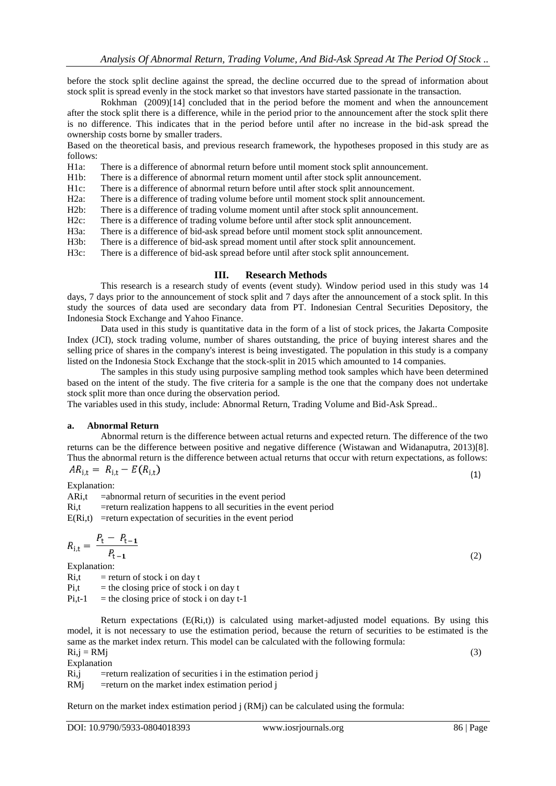before the stock split decline against the spread, the decline occurred due to the spread of information about stock split is spread evenly in the stock market so that investors have started passionate in the transaction.

Rokhman (2009)[14] concluded that in the period before the moment and when the announcement after the stock split there is a difference, while in the period prior to the announcement after the stock split there is no difference. This indicates that in the period before until after no increase in the bid-ask spread the ownership costs borne by smaller traders.

Based on the theoretical basis, and previous research framework, the hypotheses proposed in this study are as follows:

H1a: There is a difference of abnormal return before until moment stock split announcement.<br>H1b: There is a difference of abnormal return moment until after stock split announcement.

There is a difference of abnormal return moment until after stock split announcement.

H1c: There is a difference of abnormal return before until after stock split announcement.<br>H2a: There is a difference of trading volume before until moment stock split announceme

H2a: There is a difference of trading volume before until moment stock split announcement.<br>H2b: There is a difference of trading volume moment until after stock split announcement.

H2b: There is a difference of trading volume moment until after stock split announcement.<br>H2c: There is a difference of trading volume before until after stock split announcement.

There is a difference of trading volume before until after stock split announcement.

H3a: There is a difference of bid-ask spread before until moment stock split announcement.

There is a difference of bid-ask spread moment until after stock split announcement.

H3c: There is a difference of bid-ask spread before until after stock split announcement.

#### **III. Research Methods**

This research is a research study of events (event study). Window period used in this study was 14 days, 7 days prior to the announcement of stock split and 7 days after the announcement of a stock split. In this study the sources of data used are secondary data from PT. Indonesian Central Securities Depository, the Indonesia Stock Exchange and Yahoo Finance.

Data used in this study is quantitative data in the form of a list of stock prices, the Jakarta Composite Index (JCI), stock trading volume, number of shares outstanding, the price of buying interest shares and the selling price of shares in the company's interest is being investigated. The population in this study is a company listed on the Indonesia Stock Exchange that the stock-split in 2015 which amounted to 14 companies.

The samples in this study using purposive sampling method took samples which have been determined based on the intent of the study. The five criteria for a sample is the one that the company does not undertake stock split more than once during the observation period.

The variables used in this study, include: Abnormal Return, Trading Volume and Bid-Ask Spread..

#### **a. Abnormal Return**

Abnormal return is the difference between actual returns and expected return. The difference of the two returns can be the difference between positive and negative difference (Wistawan and Widanaputra, 2013)[8]. Thus the abnormal return is the difference between actual returns that occur with return expectations, as follows:<br> $AR_{\lambda} = R_{\lambda} - E(R_{\lambda})$ 

$$
n_{i,t} = n_{i,t} - E(t)
$$

Explanation:

ARi,t =abnormal return of securities in the event period

Ri,t =return realization happens to all securities in the event period

 $E(Ri,t)$  =return expectation of securities in the event period

$$
R_{i,t} = \frac{P_t - P_{t-1}}{P_{t-1}}
$$

Explanation:

Ri,t = return of stock i on day t<br>Pi,t = the closing price of stock  $=$  the closing price of stock i on day t

 $Pi, t-1$  = the closing price of stock i on day t-1

Return expectations  $(E(Ri,t))$  is calculated using market-adjusted model equations. By using this model, it is not necessary to use the estimation period, because the return of securities to be estimated is the same as the market index return. This model can be calculated with the following formula:  $Ri,j = RMj$  (3)

Explanation

 $Ri,j$  = return realization of securities i in the estimation period j

 $RMj$  =return on the market index estimation period j

Return on the market index estimation period  $\mathbf{j}$  (RM $\mathbf{j}$ ) can be calculated using the formula:

(2)

(1)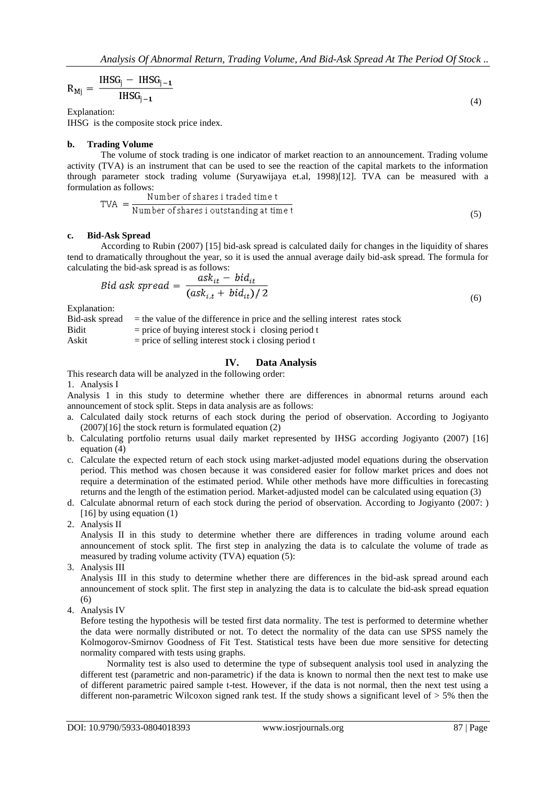$$
R_{Mj} = \frac{\text{IHSG}_j - \text{IHSG}_{j-1}}{\text{IHSG}_{j-1}}
$$
(4)

Explanation:

IHSG is the composite stock price index.

## **b. Trading Volume**

The volume of stock trading is one indicator of market reaction to an announcement. Trading volume activity (TVA) is an instrument that can be used to see the reaction of the capital markets to the information through parameter stock trading volume (Suryawijaya et.al, 1998)[12]. TVA can be measured with a formulation as follows:

$$
TVA = \frac{Number of shares it traded time t}{Number of shares i outstanding at time t}
$$
\n(5)

## **c. Bid-Ask Spread**

According to Rubin (2007) [15] bid-ask spread is calculated daily for changes in the liquidity of shares tend to dramatically throughout the year, so it is used the annual average daily bid-ask spread. The formula for calculating the bid-ask spread is as follows:

$$
Bid ask spread = \frac{ask_{it} - bid_{it}}{(ask_{i,t} + bid_{it})/2}
$$
\n
$$
(6)
$$

Explanation:

Bid-ask spread = the value of the difference in price and the selling interest rates stock

 $Bidit$  = price of buying interest stock i closing period t

Askit  $=$  price of selling interest stock i closing period t

# **IV. Data Analysis**

This research data will be analyzed in the following order:

1. Analysis I

Analysis 1 in this study to determine whether there are differences in abnormal returns around each announcement of stock split. Steps in data analysis are as follows:

- a. Calculated daily stock returns of each stock during the period of observation. According to Jogiyanto  $(2007)[16]$  the stock return is formulated equation  $(2)$
- b. Calculating portfolio returns usual daily market represented by IHSG according Jogiyanto (2007) [16] equation (4)
- c. Calculate the expected return of each stock using market-adjusted model equations during the observation period. This method was chosen because it was considered easier for follow market prices and does not require a determination of the estimated period. While other methods have more difficulties in forecasting returns and the length of the estimation period. Market-adjusted model can be calculated using equation (3)
- d. Calculate abnormal return of each stock during the period of observation. According to Jogiyanto (2007: ) [16] by using equation (1)
- 2. Analysis II

Analysis II in this study to determine whether there are differences in trading volume around each announcement of stock split. The first step in analyzing the data is to calculate the volume of trade as measured by trading volume activity (TVA) equation (5):

3. Analysis III

Analysis III in this study to determine whether there are differences in the bid-ask spread around each announcement of stock split. The first step in analyzing the data is to calculate the bid-ask spread equation (6)

4. Analysis IV

Before testing the hypothesis will be tested first data normality. The test is performed to determine whether the data were normally distributed or not. To detect the normality of the data can use SPSS namely the Kolmogorov-Smirnov Goodness of Fit Test. Statistical tests have been due more sensitive for detecting normality compared with tests using graphs.

Normality test is also used to determine the type of subsequent analysis tool used in analyzing the different test (parametric and non-parametric) if the data is known to normal then the next test to make use of different parametric paired sample t-test. However, if the data is not normal, then the next test using a different non-parametric Wilcoxon signed rank test. If the study shows a significant level of > 5% then the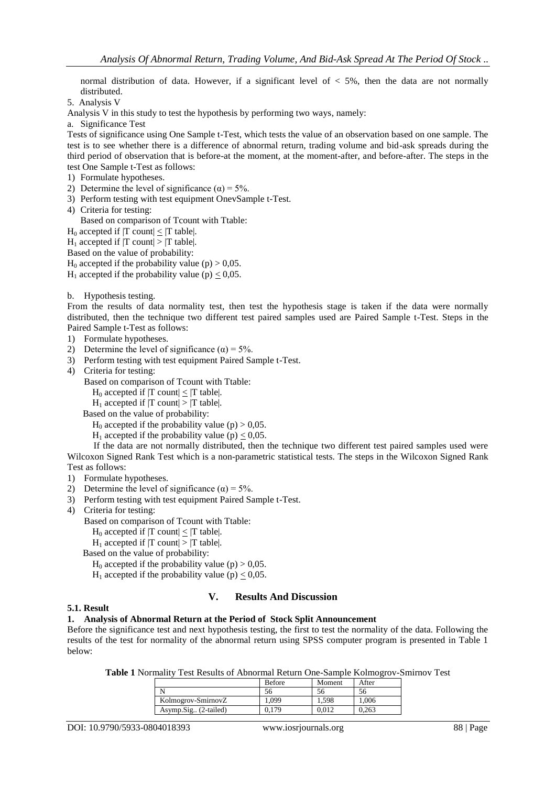normal distribution of data. However, if a significant level of  $<$  5%, then the data are not normally distributed.

5. Analysis V

Analysis V in this study to test the hypothesis by performing two ways, namely:

a. Significance Test

Tests of significance using One Sample t-Test, which tests the value of an observation based on one sample. The test is to see whether there is a difference of abnormal return, trading volume and bid-ask spreads during the third period of observation that is before-at the moment, at the moment-after, and before-after. The steps in the test One Sample t-Test as follows:

- 1) Formulate hypotheses.
- 2) Determine the level of significance ( $\alpha$ ) = 5%.
- 3) Perform testing with test equipment OnevSample t-Test.
- 4) Criteria for testing:

Based on comparison of Tcount with Ttable:

- $H_0$  accepted if  $|T \text{ count}| \leq |T \text{ table}|$ .
- $H_1$  accepted if  $|T \text{ count}| > |T \text{ table}|$ .

Based on the value of probability:

- $H_0$  accepted if the probability value (p) > 0,05.
- $H_1$  accepted if the probability value (p)  $\leq 0.05$ .
- b. Hypothesis testing.

From the results of data normality test, then test the hypothesis stage is taken if the data were normally distributed, then the technique two different test paired samples used are Paired Sample t-Test. Steps in the Paired Sample t-Test as follows:

- 1) Formulate hypotheses.
- 2) Determine the level of significance  $(\alpha) = 5\%$ .
- 3) Perform testing with test equipment Paired Sample t-Test.
- 4) Criteria for testing:

Based on comparison of Tcount with Ttable:

- $H_0$  accepted if  $|T \text{ count}| \leq |T \text{ table}|$ .
- $H_1$  accepted if  $|T \text{ count}| > |T \text{ table}|$ .

Based on the value of probability:

- $H_0$  accepted if the probability value (p) > 0,05.
- $H_1$  accepted if the probability value (p) < 0,05.

If the data are not normally distributed, then the technique two different test paired samples used were Wilcoxon Signed Rank Test which is a non-parametric statistical tests. The steps in the Wilcoxon Signed Rank Test as follows:

- 1) Formulate hypotheses.
- 2) Determine the level of significance  $(\alpha) = 5\%$ .
- 3) Perform testing with test equipment Paired Sample t-Test.
- 4) Criteria for testing:

Based on comparison of Tcount with Ttable:

- $H_0$  accepted if  $|T \text{ count}| < |T \text{ table}|$ .
- $H_1$  accepted if  $|T \text{ count}| > |T \text{ table}|$ .

Based on the value of probability:

 $H_0$  accepted if the probability value (p) > 0,05.

 $H_1$  accepted if the probability value (p)  $\leq 0.05$ .

## **V. Results And Discussion**

# **5.1. Result**

# **1. Analysis of Abnormal Return at the Period of Stock Split Announcement**

Before the significance test and next hypothesis testing, the first to test the normality of the data. Following the results of the test for normality of the abnormal return using SPSS computer program is presented in Table 1 below:

**Table 1** Normality Test Results of Abnormal Return One-Sample Kolmogrov-Smirnov Test

|                      | <b>Before</b> | Moment | After |
|----------------------|---------------|--------|-------|
|                      | эb            | эo     | 56    |
| Kolmogrov-SmirnovZ   | .099          | 1.598  | 1.006 |
| Asymp.Sig (2-tailed) | 0.179         | 0.012  | 0.263 |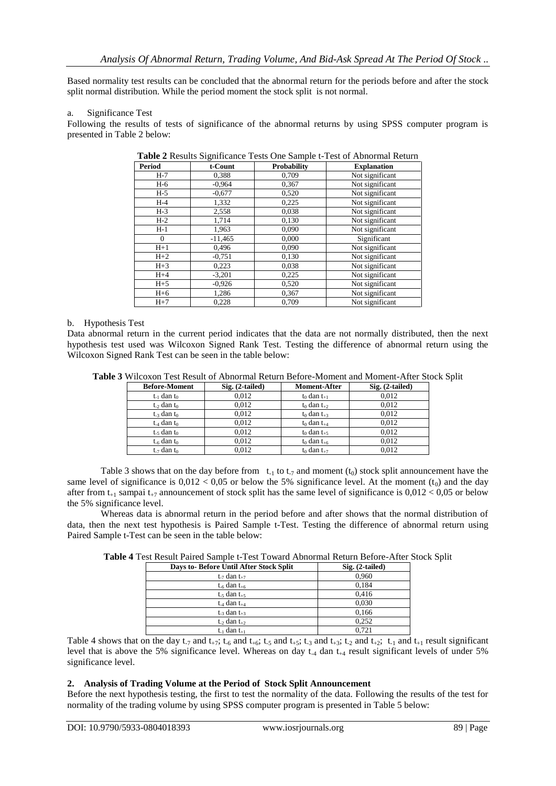Based normality test results can be concluded that the abnormal return for the periods before and after the stock split normal distribution. While the period moment the stock split is not normal.

#### a. Significance Test

Following the results of tests of significance of the abnormal returns by using SPSS computer program is presented in Table 2 below:

| <b>Period</b> | t-Count   | <b>Probability</b> | <b>Explanation</b> |
|---------------|-----------|--------------------|--------------------|
| $H-7$         | 0,388     | 0,709              | Not significant    |
| H-6           | $-0.964$  | 0,367              | Not significant    |
| $H-5$         | $-0.677$  | 0,520              | Not significant    |
| $H-4$         | 1,332     | 0.225              | Not significant    |
| $H-3$         | 2,558     | 0.038              | Not significant    |
| $H-2$         | 1,714     | 0,130              | Not significant    |
| $H-1$         | 1,963     | 0.090              | Not significant    |
| $\Omega$      | $-11,465$ | 0,000              | Significant        |
| $H+1$         | 0,496     | 0,090              | Not significant    |
| $H+2$         | $-0,751$  | 0,130              | Not significant    |
| $H+3$         | 0,223     | 0,038              | Not significant    |
| $H+4$         | $-3,201$  | 0,225              | Not significant    |
| $H+5$         | $-0.926$  | 0,520              | Not significant    |
| $H+6$         | 1,286     | 0,367              | Not significant    |
| $H+7$         | 0,228     | 0,709              | Not significant    |

| Table 2 Results Significance Tests One Sample t-Test of Abnormal Return |  |  |  |
|-------------------------------------------------------------------------|--|--|--|
|-------------------------------------------------------------------------|--|--|--|

#### b. Hypothesis Test

Data abnormal return in the current period indicates that the data are not normally distributed, then the next hypothesis test used was Wilcoxon Signed Rank Test. Testing the difference of abnormal return using the Wilcoxon Signed Rank Test can be seen in the table below:

| <b>Before-Moment</b>        | $Sig. (2-tailed)$ | <b>Moment-After</b> | Sig. (2-tailed) |
|-----------------------------|-------------------|---------------------|-----------------|
| $t_{-1}$ dan $t_0$          | 0.012             | $t_0$ dan $t_{+1}$  | 0.012           |
| $t_{\rm c}$ dan $t_{0}$     | 0.012             | $t_0$ dan $t_{+2}$  | 0.012           |
| $t_{-3}$ dan $t_0$          | 0.012             | $t_0$ dan $t_{+3}$  | 0.012           |
| $t_{-4}$ dan $t_0$          | 0.012             | $t_0$ dan $t_{+4}$  | 0.012           |
| $t_{\text{-}5}$ dan $t_{0}$ | 0.012             | $t_0$ dan $t_{+5}$  | 0.012           |
| $t_{\text{-6}}$ dan $t_0$   | 0.012             | $t_0$ dan $t_{+6}$  | 0.012           |
| $t_{-7}$ dan $t_0$          | 0.012             | $t_0$ dan $t_{+7}$  | 0.012           |

**Table 3** Wilcoxon Test Result of Abnormal Return Before-Moment and Moment-After Stock Split

Table 3 shows that on the day before from  $t_{-1}$  to  $t_{-7}$  and moment ( $t_0$ ) stock split announcement have the same level of significance is  $0.012 < 0.05$  or below the 5% significance level. At the moment  $(t_0)$  and the day after from  $t_{+1}$  sampai  $t_{+7}$  announcement of stock split has the same level of significance is  $0.012 < 0.05$  or below the 5% significance level.

Whereas data is abnormal return in the period before and after shows that the normal distribution of data, then the next test hypothesis is Paired Sample t-Test. Testing the difference of abnormal return using Paired Sample t-Test can be seen in the table below:

| <b>Table 4 Test Result Paired Sample t-Test Toward Abnormal Return Before-After Stock Split</b> |  |
|-------------------------------------------------------------------------------------------------|--|
|-------------------------------------------------------------------------------------------------|--|

| Days to-Before Until After Stock Split | Sig. (2-tailed) |
|----------------------------------------|-----------------|
| $t_{-7}$ dan $t_{+7}$                  | 0.960           |
| $t_{-6}$ dan $t_{+6}$                  | 0.184           |
| $t_{-5}$ dan $t_{+5}$                  | 0,416           |
| $t_{-4}$ dan $t_{+4}$                  | 0.030           |
| $t_{-3}$ dan $t_{+3}$                  | 0.166           |
| $t_{-2}$ dan $t_{+2}$                  | 0,252           |
| $t_{-1}$ dan $t_{+1}$                  | 0.721           |

Table 4 shows that on the day t<sub>-7</sub> and t<sub>+7</sub>; t<sub>-6</sub> and t<sub>+6</sub>; t<sub>-5</sub> and t<sub>+5</sub>; t<sub>-3</sub> and t<sub>+3</sub>; t<sub>-2</sub> and t<sub>+2</sub>; t<sub>-1</sub> and t<sub>+1</sub> result significant level that is above the 5% significance level. Whereas on day  $t_{-4}$  dan  $t_{+4}$  result significant levels of under 5% significance level.

### **2. Analysis of Trading Volume at the Period of Stock Split Announcement**

Before the next hypothesis testing, the first to test the normality of the data. Following the results of the test for normality of the trading volume by using SPSS computer program is presented in Table 5 below: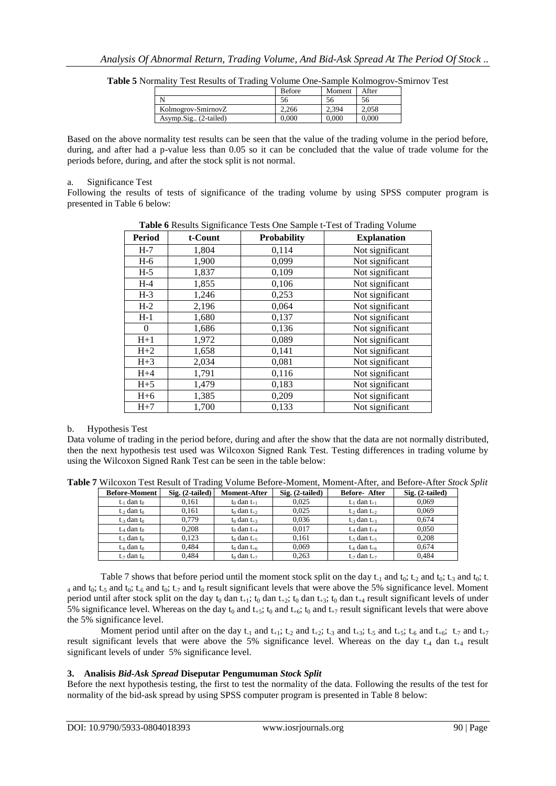|                      | <b>Before</b> | Moment | After     |
|----------------------|---------------|--------|-----------|
|                      | 56            |        | 56        |
| Kolmogrov-SmirnovZ   | 2.266         | 2.394  | 2.058     |
| Asymp.Sig (2-tailed) | 0.000         | 0.000  | $0.000\,$ |

**Table 5** Normality Test Results of Trading Volume One-Sample Kolmogrov-Smirnov Test

Based on the above normality test results can be seen that the value of the trading volume in the period before, during, and after had a p-value less than 0.05 so it can be concluded that the value of trade volume for the periods before, during, and after the stock split is not normal.

#### a. Significance Test

Following the results of tests of significance of the trading volume by using SPSS computer program is presented in Table 6 below:

| <b>Table 0</b> Nesults significance Tests One Sample t-Test of Trading Volume |         |             |                    |  |  |  |
|-------------------------------------------------------------------------------|---------|-------------|--------------------|--|--|--|
| <b>Period</b>                                                                 | t-Count | Probability | <b>Explanation</b> |  |  |  |
| $H-7$                                                                         | 1,804   | 0,114       | Not significant    |  |  |  |
| $H-6$                                                                         | 1,900   | 0,099       | Not significant    |  |  |  |
| $H-5$                                                                         | 1,837   | 0,109       | Not significant    |  |  |  |
| $H-4$                                                                         | 1,855   | 0,106       | Not significant    |  |  |  |
| $H-3$                                                                         | 1,246   | 0,253       | Not significant    |  |  |  |
| $H-2$                                                                         | 2,196   | 0,064       | Not significant    |  |  |  |
| $H-1$                                                                         | 1,680   | 0,137       | Not significant    |  |  |  |
| $\theta$                                                                      | 1,686   | 0,136       | Not significant    |  |  |  |
| $H+1$                                                                         | 1,972   | 0,089       | Not significant    |  |  |  |
| $H+2$                                                                         | 1,658   | 0,141       | Not significant    |  |  |  |
| $H+3$                                                                         | 2,034   | 0,081       | Not significant    |  |  |  |
| $H+4$                                                                         | 1,791   | 0,116       | Not significant    |  |  |  |
| $H+5$                                                                         | 1,479   | 0,183       | Not significant    |  |  |  |
| $H+6$                                                                         | 1,385   | 0,209       | Not significant    |  |  |  |
| $H+7$                                                                         | 1,700   | 0,133       | Not significant    |  |  |  |

**Table 6** Results Significance Tests One Sample t-Test of Trading Volume

## b. Hypothesis Test

Data volume of trading in the period before, during and after the show that the data are not normally distributed, then the next hypothesis test used was Wilcoxon Signed Rank Test. Testing differences in trading volume by using the Wilcoxon Signed Rank Test can be seen in the table below:

**Table 7** Wilcoxon Test Result of Trading Volume Before-Moment, Moment-After, and Before-After *Stock Split*

| <b>Before-Moment</b>        | $Sig. (2-tailed)$ | <b>Moment-After</b> | $Sig. (2-tailed)$ | <b>Before-After</b>                     | Sig. (2-tailed) |
|-----------------------------|-------------------|---------------------|-------------------|-----------------------------------------|-----------------|
| $t_{-1}$ dan to             | 0.161             | $t_0$ dan $t_{+1}$  | 0.025             | $t_{-1}$ dan $t_{+1}$                   | 0.069           |
| $t_{\rm c}$ dan $t_{0}$     | 0.161             | $t_0$ dan $t_{+2}$  | 0.025             | $t_{\rightarrow}$ dan $t_{\rightarrow}$ | 0.069           |
| $t_{-3}$ dan $t_0$          | 0.779             | $t_0$ dan $t_{+3}$  | 0.036             | $t_{-3}$ dan $t_{+3}$                   | 0.674           |
| $t_{-4}$ dan $t_0$          | 0.208             | $t_0$ dan $t_{+4}$  | 0.017             | $t_{-4}$ dan $t_{+4}$                   | 0.050           |
| $t_{\text{-}5}$ dan $t_0$   | 0.123             | $t_0$ dan $t_{+5}$  | 0.161             | $t_{-5}$ dan $t_{+5}$                   | 0.208           |
| $t_{\text{-6}}$ dan $t_{0}$ | 0.484             | $t_0$ dan $t_{+6}$  | 0.069             | $t_{-6}$ dan $t_{+6}$                   | 0.674           |
| $t_{-7}$ dan to             | 0.484             | $t_0$ dan $t_{+7}$  | 0.263             | $t_{-7}$ dan $t_{+7}$                   | 0.484           |

Table 7 shows that before period until the moment stock split on the day  $t_{-1}$  and  $t_0$ ;  $t_{-2}$  and  $t_0$ ;  $t_{-3}$  and  $t_0$ ;  $t_{-1}$ 4 and t<sub>0</sub>; t<sub>-5</sub> and t<sub>0</sub>; t<sub>-6</sub> and t<sub>0</sub>; t<sub>-7</sub> and t<sub>0</sub> result significant levels that were above the 5% significance level. Moment period until after stock split on the day  $t_0$  dan  $t_{+1}$ ;  $t_0$  dan  $t_{+3}$ ;  $t_0$  dan  $t_{+3}$ ;  $t_0$  dan  $t_{+4}$  result significant levels of under 5% significance level. Whereas on the day  $t_0$  and  $t_{+5}$ ;  $t_0$  and  $t_{+6}$ ;  $t_0$  and  $t_{+7}$  result significant levels that were above the 5% significance level.

Moment period until after on the day  $t_{-1}$  and  $t_{+1}$ ;  $t_{-2}$  and  $t_{+2}$ ;  $t_{-3}$  and  $t_{+5}$ ;  $t_{-6}$  and  $t_{+6}$ ;  $t_{-7}$  and  $t_{+7}$ result significant levels that were above the 5% significance level. Whereas on the day  $t_{-4}$  dan  $t_{+4}$  result significant levels of under 5% significance level.

## **3. Analisis** *Bid-Ask Spread* **Diseputar Pengumuman** *Stock Split*

Before the next hypothesis testing, the first to test the normality of the data. Following the results of the test for normality of the bid-ask spread by using SPSS computer program is presented in Table 8 below: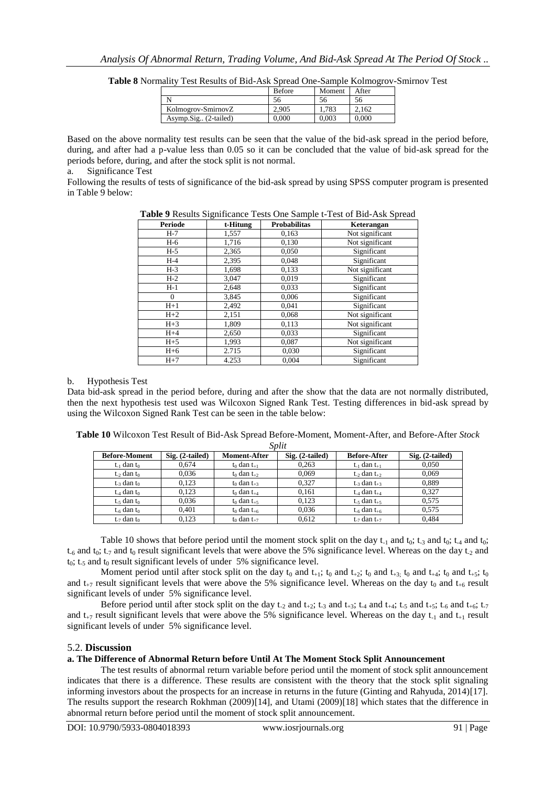|                      | <b>Before</b> | Moment | After |
|----------------------|---------------|--------|-------|
|                      | 56            | эh     | 56    |
| Kolmogrov-SmirnovZ   | 2.905         | 1.783  | 2.162 |
| Asymp.Sig (2-tailed) | 0.000         | 0.003  | 0.000 |

**Table 8** Normality Test Results of Bid-Ask Spread One-Sample Kolmogrov-Smirnov Test

Based on the above normality test results can be seen that the value of the bid-ask spread in the period before, during, and after had a p-value less than 0.05 so it can be concluded that the value of bid-ask spread for the periods before, during, and after the stock split is not normal.

a. Significance Test

Following the results of tests of significance of the bid-ask spread by using SPSS computer program is presented in Table 9 below:

**Table 9** Results Significance Tests One Sample t-Test of Bid-Ask Spread

| <b>Periode</b> | t-Hitung | <b>Probabilitas</b> | Keterangan      |  |
|----------------|----------|---------------------|-----------------|--|
| $H-7$          | 1,557    | 0,163               | Not significant |  |
| H-6            | 1,716    | 0,130               | Not significant |  |
| $H-5$          | 2,365    | 0,050               | Significant     |  |
| $H-4$          | 2,395    | 0,048               | Significant     |  |
| $H-3$          | 1,698    | 0,133               | Not significant |  |
| $H-2$          | 3,047    | 0,019               | Significant     |  |
| $H-1$          | 2,648    | 0,033               | Significant     |  |
| $\Omega$       | 3,845    | 0,006               | Significant     |  |
| $H+1$          | 2,492    | 0,041               | Significant     |  |
| $H+2$          | 2,151    | 0,068               | Not significant |  |
| $H+3$          | 1,809    | 0,113               | Not significant |  |
| $H+4$          | 2,650    | 0,033               | Significant     |  |
| $H+5$          | 1,993    | 0,087               | Not significant |  |
| $H+6$          | 2.715    | 0,030               | Significant     |  |
| $H+7$          | 4.253    | 0.004               | Significant     |  |

## b. Hypothesis Test

Data bid-ask spread in the period before, during and after the show that the data are not normally distributed, then the next hypothesis test used was Wilcoxon Signed Rank Test. Testing differences in bid-ask spread by using the Wilcoxon Signed Rank Test can be seen in the table below:

|                             |                   |                       | <i>SVIII</i>      |                       |                   |
|-----------------------------|-------------------|-----------------------|-------------------|-----------------------|-------------------|
| <b>Before-Moment</b>        | $Sig. (2-tailed)$ | <b>Moment-After</b>   | $Sig. (2-tailed)$ | <b>Before-After</b>   | $Sig. (2-tailed)$ |
| $t_1$ dan $t_0$             | 0.674             | $t_0$ dan $t_{+1}$    | 0.263             | $t_1$ dan $t_{+1}$    | 0.050             |
| $t2$ dan $t0$               | 0.036             | $t_0$ dan $t_{+2}$    | 0.069             | $t_2$ dan $t_{+2}$    | 0.069             |
| $t_{-3}$ dan $t_0$          | 0.123             | $t_0$ dan $t_{+3}$    | 0.327             | $t_{-3}$ dan $t_{+3}$ | 0.889             |
| $t_{-4}$ dan $t_0$          | 0.123             | $t_0$ dan $t_{+4}$    | 0.161             | $t_{-4}$ dan $t_{+4}$ | 0.327             |
| $t_{\text{-}5}$ dan $t_{0}$ | 0.036             | $t_0$ dan $t_{+5}$    | 0.123             | $t_{-5}$ dan $t_{+5}$ | 0.575             |
| $t_{\rm -6}$ dan $t_{0}$    | 0.401             | $t_0$ dan $t_{\pm 6}$ | 0.036             | $t_{-6}$ dan $t_{+6}$ | 0.575             |
| $t_{\text{-}7}$ dan $t_0$   | 0.123             | $t_0$ dan $t_{+7}$    | 0.612             | $t_{-7}$ dan $t_{+7}$ | 0.484             |

**Table 10** Wilcoxon Test Result of Bid-Ask Spread Before-Moment, Moment-After, and Before-After *Stock Split*

Table 10 shows that before period until the moment stock split on the day  $t_{-1}$  and  $t_0$ ;  $t_{-3}$  and  $t_0$ ;  $t_{-4}$  and  $t_0$ ;  $t_{-6}$  and  $t_{0}$ ;  $t_{-7}$  and  $t_{0}$  result significant levels that were above the 5% significance level. Whereas on the day  $t_{-2}$  and  $t_0$ ;  $t_{.5}$  and  $t_0$  result significant levels of under 5% significance level.

Moment period until after stock split on the day  $t_0$  and  $t_{+1}$ ;  $t_0$  and  $t_{+2}$ ;  $t_0$  and  $t_{+3}$ ;  $t_0$  and  $t_{+5}$ ;  $t_0$ and  $t_{+7}$  result significant levels that were above the 5% significance level. Whereas on the day  $t_0$  and  $t_{+6}$  result significant levels of under 5% significance level.

Before period until after stock split on the day t<sub>-2</sub> and t<sub>+2</sub>; t<sub>-3</sub> and t<sub>+3</sub>; t<sub>-4</sub> and t<sub>+4</sub>; t<sub>-5</sub> and t<sub>+5</sub>; t<sub>-6</sub> and t<sub>+6</sub>; t<sub>-7</sub> and  $t_{+7}$  result significant levels that were above the 5% significance level. Whereas on the day  $t_{-1}$  and  $t_{+1}$  result significant levels of under 5% significance level.

# 5.2. **Discussion**

## **a. The Difference of Abnormal Return before Until At The Moment Stock Split Announcement**

The test results of abnormal return variable before period until the moment of stock split announcement indicates that there is a difference. These results are consistent with the theory that the stock split signaling informing investors about the prospects for an increase in returns in the future (Ginting and Rahyuda, 2014)[17]. The results support the research Rokhman (2009)[14], and Utami (2009)[18] which states that the difference in abnormal return before period until the moment of stock split announcement.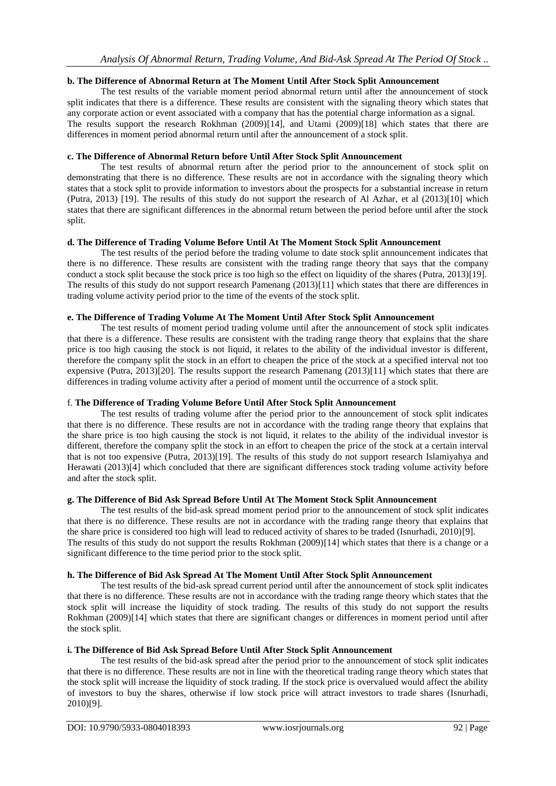## **b. The Difference of Abnormal Return at The Moment Until After Stock Split Announcement**

The test results of the variable moment period abnormal return until after the announcement of stock split indicates that there is a difference. These results are consistent with the signaling theory which states that any corporate action or event associated with a company that has the potential charge information as a signal. The results support the research Rokhman (2009)[14], and Utami (2009)[18] which states that there are differences in moment period abnormal return until after the announcement of a stock split.

## **c. The Difference of Abnormal Return before Until After Stock Split Announcement**

The test results of abnormal return after the period prior to the announcement of stock split on demonstrating that there is no difference. These results are not in accordance with the signaling theory which states that a stock split to provide information to investors about the prospects for a substantial increase in return (Putra, 2013) [19]. The results of this study do not support the research of Al Azhar, et al (2013)[10] which states that there are significant differences in the abnormal return between the period before until after the stock split.

## **d. The Difference of Trading Volume Before Until At The Moment Stock Split Announcement**

The test results of the period before the trading volume to date stock split announcement indicates that there is no difference. These results are consistent with the trading range theory that says that the company conduct a stock split because the stock price is too high so the effect on liquidity of the shares (Putra, 2013)[19]. The results of this study do not support research Pamenang (2013)[11] which states that there are differences in trading volume activity period prior to the time of the events of the stock split.

## **e. The Difference of Trading Volume At The Moment Until After Stock Split Announcement**

The test results of moment period trading volume until after the announcement of stock split indicates that there is a difference. These results are consistent with the trading range theory that explains that the share price is too high causing the stock is not liquid, it relates to the ability of the individual investor is different, therefore the company split the stock in an effort to cheapen the price of the stock at a specified interval not too expensive (Putra, 2013)[20]. The results support the research Pamenang (2013)[11] which states that there are differences in trading volume activity after a period of moment until the occurrence of a stock split.

# f. **The Difference of Trading Volume Before Until After Stock Split Announcement**

The test results of trading volume after the period prior to the announcement of stock split indicates that there is no difference. These results are not in accordance with the trading range theory that explains that the share price is too high causing the stock is not liquid, it relates to the ability of the individual investor is different, therefore the company split the stock in an effort to cheapen the price of the stock at a certain interval that is not too expensive (Putra, 2013)[19]. The results of this study do not support research Islamiyahya and Herawati (2013)[4] which concluded that there are significant differences stock trading volume activity before and after the stock split.

## **g. The Difference of Bid Ask Spread Before Until At The Moment Stock Split Announcement**

The test results of the bid-ask spread moment period prior to the announcement of stock split indicates that there is no difference. These results are not in accordance with the trading range theory that explains that the share price is considered too high will lead to reduced activity of shares to be traded (Isnurhadi, 2010)[9]. The results of this study do not support the results Rokhman (2009)[14] which states that there is a change or a significant difference to the time period prior to the stock split.

## **h. The Difference of Bid Ask Spread At The Moment Until After Stock Split Announcement**

The test results of the bid-ask spread current period until after the announcement of stock split indicates that there is no difference. These results are not in accordance with the trading range theory which states that the stock split will increase the liquidity of stock trading. The results of this study do not support the results Rokhman (2009)[14] which states that there are significant changes or differences in moment period until after the stock split.

## **i. The Difference of Bid Ask Spread Before Until After Stock Split Announcement**

The test results of the bid-ask spread after the period prior to the announcement of stock split indicates that there is no difference. These results are not in line with the theoretical trading range theory which states that the stock split will increase the liquidity of stock trading. If the stock price is overvalued would affect the ability of investors to buy the shares, otherwise if low stock price will attract investors to trade shares (Isnurhadi, 2010)[9].